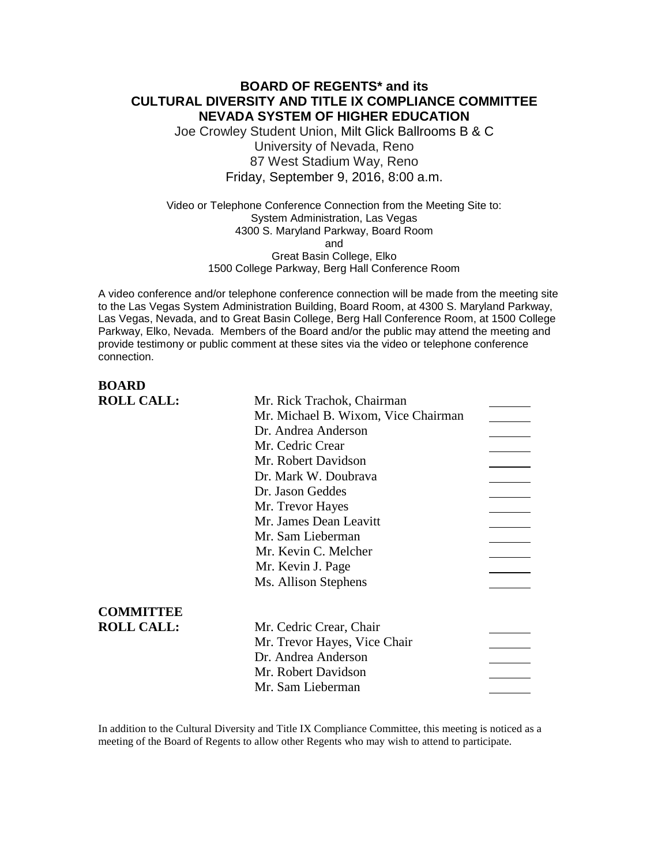### **BOARD OF REGENTS\* and its CULTURAL DIVERSITY AND TITLE IX COMPLIANCE COMMITTEE NEVADA SYSTEM OF HIGHER EDUCATION**

Joe Crowley Student Union, Milt Glick Ballrooms B & C University of Nevada, Reno 87 West Stadium Way, Reno Friday, September 9, 2016, 8:00 a.m.

Video or Telephone Conference Connection from the Meeting Site to: System Administration, Las Vegas 4300 S. Maryland Parkway, Board Room and Great Basin College, Elko 1500 College Parkway, Berg Hall Conference Room

A video conference and/or telephone conference connection will be made from the meeting site to the Las Vegas System Administration Building, Board Room, at 4300 S. Maryland Parkway, Las Vegas, Nevada, and to Great Basin College, Berg Hall Conference Room, at 1500 College Parkway, Elko, Nevada. Members of the Board and/or the public may attend the meeting and provide testimony or public comment at these sites via the video or telephone conference connection.

# **BOARD**

| <b>ROLL CALL:</b> | Mr. Rick Trachok, Chairman          |  |
|-------------------|-------------------------------------|--|
|                   | Mr. Michael B. Wixom, Vice Chairman |  |
|                   | Dr. Andrea Anderson                 |  |
|                   | Mr. Cedric Crear                    |  |
|                   | Mr. Robert Davidson                 |  |
|                   | Dr. Mark W. Doubrava                |  |
|                   | Dr. Jason Geddes                    |  |
|                   | Mr. Trevor Hayes                    |  |
|                   | Mr. James Dean Leavitt              |  |
|                   | Mr. Sam Lieberman                   |  |
|                   | Mr. Kevin C. Melcher                |  |
|                   | Mr. Kevin J. Page                   |  |
|                   | Ms. Allison Stephens                |  |
| <b>COMMITTEE</b>  |                                     |  |
| <b>ROLL CALL:</b> | Mr. Cedric Crear, Chair             |  |
|                   | Mr. Trevor Hayes, Vice Chair        |  |
|                   | Dr. Andrea Anderson                 |  |
|                   | Mr. Robert Davidson                 |  |
|                   | Mr. Sam Lieberman                   |  |
|                   |                                     |  |

In addition to the Cultural Diversity and Title IX Compliance Committee, this meeting is noticed as a meeting of the Board of Regents to allow other Regents who may wish to attend to participate.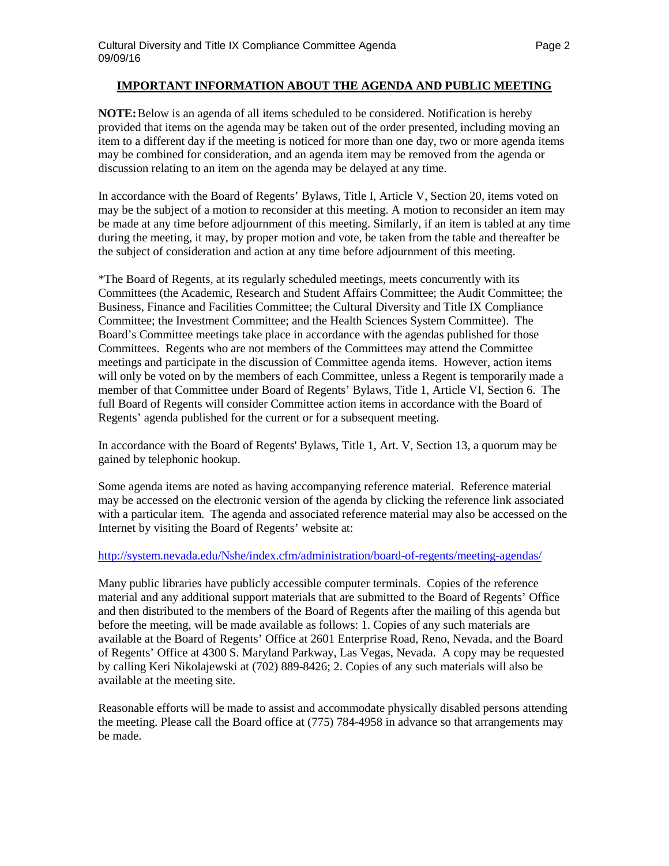### **IMPORTANT INFORMATION ABOUT THE AGENDA AND PUBLIC MEETING**

**NOTE:**Below is an agenda of all items scheduled to be considered. Notification is hereby provided that items on the agenda may be taken out of the order presented, including moving an item to a different day if the meeting is noticed for more than one day, two or more agenda items may be combined for consideration, and an agenda item may be removed from the agenda or discussion relating to an item on the agenda may be delayed at any time.

In accordance with the Board of Regents' Bylaws, Title I, Article V, Section 20, items voted on may be the subject of a motion to reconsider at this meeting. A motion to reconsider an item may be made at any time before adjournment of this meeting. Similarly, if an item is tabled at any time during the meeting, it may, by proper motion and vote, be taken from the table and thereafter be the subject of consideration and action at any time before adjournment of this meeting.

\*The Board of Regents, at its regularly scheduled meetings, meets concurrently with its Committees (the Academic, Research and Student Affairs Committee; the Audit Committee; the Business, Finance and Facilities Committee; the Cultural Diversity and Title IX Compliance Committee; the Investment Committee; and the Health Sciences System Committee). The Board's Committee meetings take place in accordance with the agendas published for those Committees. Regents who are not members of the Committees may attend the Committee meetings and participate in the discussion of Committee agenda items. However, action items will only be voted on by the members of each Committee, unless a Regent is temporarily made a member of that Committee under Board of Regents' Bylaws, Title 1, Article VI, Section 6. The full Board of Regents will consider Committee action items in accordance with the Board of Regents' agenda published for the current or for a subsequent meeting.

In accordance with the Board of Regents' Bylaws, Title 1, Art. V, Section 13, a quorum may be gained by telephonic hookup.

Some agenda items are noted as having accompanying reference material. Reference material may be accessed on the electronic version of the agenda by clicking the reference link associated with a particular item. The agenda and associated reference material may also be accessed on the Internet by visiting the Board of Regents' website at:

### <http://system.nevada.edu/Nshe/index.cfm/administration/board-of-regents/meeting-agendas/>

Many public libraries have publicly accessible computer terminals. Copies of the reference material and any additional support materials that are submitted to the Board of Regents' Office and then distributed to the members of the Board of Regents after the mailing of this agenda but before the meeting, will be made available as follows: 1. Copies of any such materials are available at the Board of Regents' Office at 2601 Enterprise Road, Reno, Nevada, and the Board of Regents' Office at 4300 S. Maryland Parkway, Las Vegas, Nevada. A copy may be requested by calling Keri Nikolajewski at (702) 889-8426; 2. Copies of any such materials will also be available at the meeting site.

Reasonable efforts will be made to assist and accommodate physically disabled persons attending the meeting. Please call the Board office at (775) 784-4958 in advance so that arrangements may be made.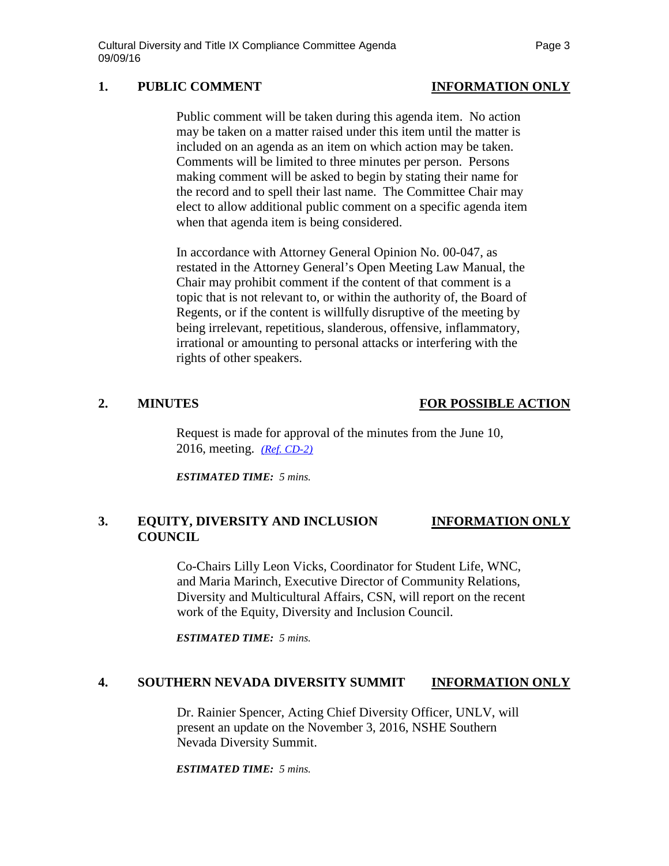# **1. PUBLIC COMMENT INFORMATION ONLY**

### Public comment will be taken during this agenda item. No action may be taken on a matter raised under this item until the matter is included on an agenda as an item on which action may be taken. Comments will be limited to three minutes per person. Persons making comment will be asked to begin by stating their name for the record and to spell their last name. The Committee Chair may elect to allow additional public comment on a specific agenda item when that agenda item is being considered.

In accordance with Attorney General Opinion No. 00-047, as restated in the Attorney General's Open Meeting Law Manual, the Chair may prohibit comment if the content of that comment is a topic that is not relevant to, or within the authority of, the Board of Regents, or if the content is willfully disruptive of the meeting by being irrelevant, repetitious, slanderous, offensive, inflammatory, irrational or amounting to personal attacks or interfering with the rights of other speakers.

# **2. MINUTES FOR POSSIBLE ACTION**

Request is made for approval of the minutes from the June 10, 2016, meeting. *[\(Ref. CD-2\)](http://system.nevada.edu/tasks/sites/Nshe/assets/File/BoardOfRegents/Agendas/2016/sept-mtgs/cdix-refs/CD-2.pdf)*

*ESTIMATED TIME: 5 mins.*

# **3. EQUITY, DIVERSITY AND INCLUSION INFORMATION ONLY COUNCIL**

Co-Chairs Lilly Leon Vicks, Coordinator for Student Life, WNC, and Maria Marinch, Executive Director of Community Relations, Diversity and Multicultural Affairs, CSN, will report on the recent work of the Equity, Diversity and Inclusion Council.

*ESTIMATED TIME: 5 mins.*

### **4. SOUTHERN NEVADA DIVERSITY SUMMIT INFORMATION ONLY**

Dr. Rainier Spencer, Acting Chief Diversity Officer, UNLV, will present an update on the November 3, 2016, NSHE Southern Nevada Diversity Summit.

*ESTIMATED TIME: 5 mins.*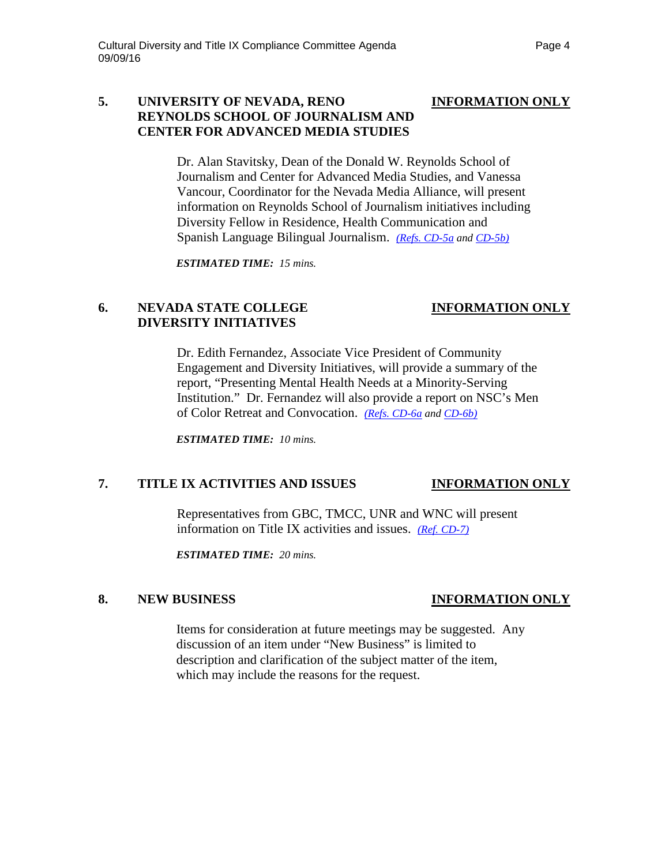### **5. UNIVERSITY OF NEVADA, RENO INFORMATION ONLY REYNOLDS SCHOOL OF JOURNALISM AND CENTER FOR ADVANCED MEDIA STUDIES**

Dr. Alan Stavitsky, Dean of the Donald W. Reynolds School of Journalism and Center for Advanced Media Studies, and Vanessa Vancour, Coordinator for the Nevada Media Alliance, will present information on Reynolds School of Journalism initiatives including Diversity Fellow in Residence, Health Communication and Spanish Language Bilingual Journalism. *[\(Refs. CD-5a](http://system.nevada.edu/tasks/sites/Nshe/assets/File/BoardOfRegents/Agendas/2016/sept-mtgs/cdix-refs/CD-5a.pdf) an[d CD-5b\)](http://system.nevada.edu/tasks/sites/Nshe/assets/File/BoardOfRegents/Agendas/2016/sept-mtgs/cdix-refs/CD-5b.pdf)*

*ESTIMATED TIME: 15 mins.*

# **6. NEVADA STATE COLLEGE INFORMATION ONLY DIVERSITY INITIATIVES**

Dr. Edith Fernandez, Associate Vice President of Community Engagement and Diversity Initiatives, will provide a summary of the report, "Presenting Mental Health Needs at a Minority-Serving Institution." Dr. Fernandez will also provide a report on NSC's Men of Color Retreat and Convocation. *[\(Refs. CD-6a](http://system.nevada.edu/tasks/sites/Nshe/assets/File/BoardOfRegents/Agendas/2016/sept-mtgs/cdix-refs/CD-6a.pdf) and [CD-6b\)](http://system.nevada.edu/tasks/sites/Nshe/assets/File/BoardOfRegents/Agendas/2016/sept-mtgs/cdix-refs/CD-6b.pdf)*

*ESTIMATED TIME: 10 mins.*

# **7. TITLE IX ACTIVITIES AND ISSUES INFORMATION ONLY**

Representatives from GBC, TMCC, UNR and WNC will present information on Title IX activities and issues. *[\(Ref. CD-7\)](http://system.nevada.edu/tasks/sites/Nshe/assets/File/BoardOfRegents/Agendas/2016/sept-mtgs/cdix-refs/CD-7.pdf)*

*ESTIMATED TIME: 20 mins.*

### **8. NEW BUSINESS INFORMATION ONLY**

Items for consideration at future meetings may be suggested. Any discussion of an item under "New Business" is limited to description and clarification of the subject matter of the item, which may include the reasons for the request.